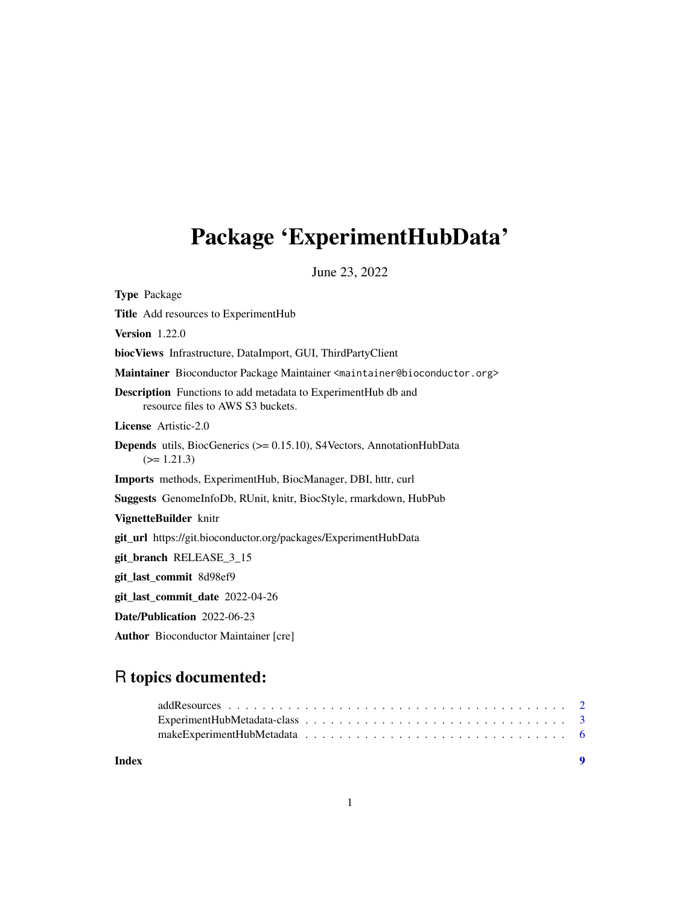## <span id="page-0-0"></span>Package 'ExperimentHubData'

June 23, 2022

Type Package Title Add resources to ExperimentHub Version 1.22.0 biocViews Infrastructure, DataImport, GUI, ThirdPartyClient Maintainer Bioconductor Package Maintainer <maintainer@bioconductor.org> Description Functions to add metadata to ExperimentHub db and resource files to AWS S3 buckets. License Artistic-2.0 Depends utils, BiocGenerics (>= 0.15.10), S4Vectors, AnnotationHubData  $(>= 1.21.3)$ Imports methods, ExperimentHub, BiocManager, DBI, httr, curl Suggests GenomeInfoDb, RUnit, knitr, BiocStyle, rmarkdown, HubPub VignetteBuilder knitr git\_url https://git.bioconductor.org/packages/ExperimentHubData git\_branch RELEASE\_3\_15 git\_last\_commit 8d98ef9 git\_last\_commit\_date 2022-04-26 Date/Publication 2022-06-23 Author Bioconductor Maintainer [cre]

## R topics documented:

**Index** [9](#page-8-0)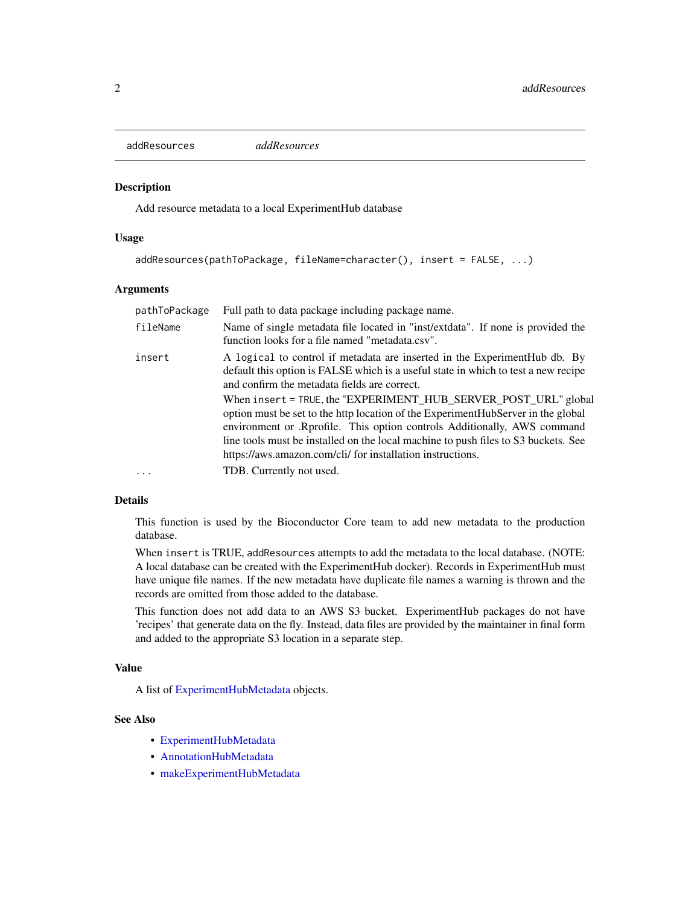<span id="page-1-1"></span><span id="page-1-0"></span>addResources *addResources*

## Description

Add resource metadata to a local ExperimentHub database

### Usage

```
addResources(pathToPackage, fileName=character(), insert = FALSE, ...)
```
## Arguments

| pathToPackage | Full path to data package including package name.                                                                                                                                                                                                                                                                                                                                                                                                                                                                                                                                                      |
|---------------|--------------------------------------------------------------------------------------------------------------------------------------------------------------------------------------------------------------------------------------------------------------------------------------------------------------------------------------------------------------------------------------------------------------------------------------------------------------------------------------------------------------------------------------------------------------------------------------------------------|
| fileName      | Name of single metadata file located in "inst/extdata". If none is provided the<br>function looks for a file named "metadata.csv".                                                                                                                                                                                                                                                                                                                                                                                                                                                                     |
| insert        | A logical to control if metadata are inserted in the ExperimentHub db. By<br>default this option is FALSE which is a useful state in which to test a new recipe<br>and confirm the metadata fields are correct.<br>When insert = TRUE, the "EXPERIMENT_HUB_SERVER_POST_URL" global<br>option must be set to the http location of the ExperimentHubServer in the global<br>environment or Reprofile. This option controls Additionally, AWS command<br>line tools must be installed on the local machine to push files to S3 buckets. See<br>https://aws.amazon.com/cli/ for installation instructions. |
| $\cdots$      | TDB. Currently not used.                                                                                                                                                                                                                                                                                                                                                                                                                                                                                                                                                                               |

## Details

This function is used by the Bioconductor Core team to add new metadata to the production database.

When insert is TRUE, addResources attempts to add the metadata to the local database. (NOTE: A local database can be created with the ExperimentHub docker). Records in ExperimentHub must have unique file names. If the new metadata have duplicate file names a warning is thrown and the records are omitted from those added to the database.

This function does not add data to an AWS S3 bucket. ExperimentHub packages do not have 'recipes' that generate data on the fly. Instead, data files are provided by the maintainer in final form and added to the appropriate S3 location in a separate step.

#### Value

A list of [ExperimentHubMetadata](#page-2-1) objects.

## See Also

- [ExperimentHubMetadata](#page-2-1)
- [AnnotationHubMetadata](#page-0-0)
- [makeExperimentHubMetadata](#page-5-1)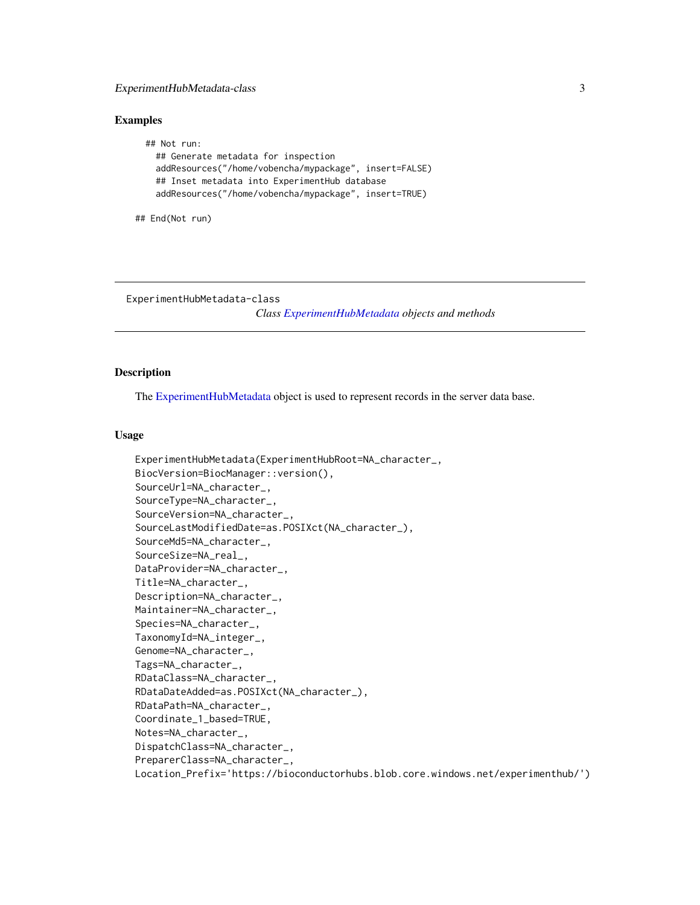## <span id="page-2-0"></span>ExperimentHubMetadata-class 3

## Examples

```
## Not run:
  ## Generate metadata for inspection
  addResources("/home/vobencha/mypackage", insert=FALSE)
  ## Inset metadata into ExperimentHub database
  addResources("/home/vobencha/mypackage", insert=TRUE)
```
## End(Not run)

ExperimentHubMetadata-class

*Class [ExperimentHubMetadata](#page-2-1) objects and methods*

## <span id="page-2-1"></span>Description

The [ExperimentHubMetadata](#page-2-1) object is used to represent records in the server data base.

### Usage

```
ExperimentHubMetadata(ExperimentHubRoot=NA_character_,
BiocVersion=BiocManager::version(),
SourceUrl=NA_character_,
SourceType=NA_character_,
SourceVersion=NA_character_,
SourceLastModifiedDate=as.POSIXct(NA_character_),
SourceMd5=NA_character_,
SourceSize=NA_real_,
DataProvider=NA_character_,
Title=NA_character_,
Description=NA_character_,
Maintainer=NA_character_,
Species=NA_character_,
TaxonomyId=NA_integer_,
Genome=NA_character_,
Tags=NA_character_,
RDataClass=NA_character_,
RDataDateAdded=as.POSIXct(NA_character_),
RDataPath=NA_character_,
Coordinate_1_based=TRUE,
Notes=NA_character_,
DispatchClass=NA_character_,
PreparerClass=NA_character_,
Location_Prefix='https://bioconductorhubs.blob.core.windows.net/experimenthub/')
```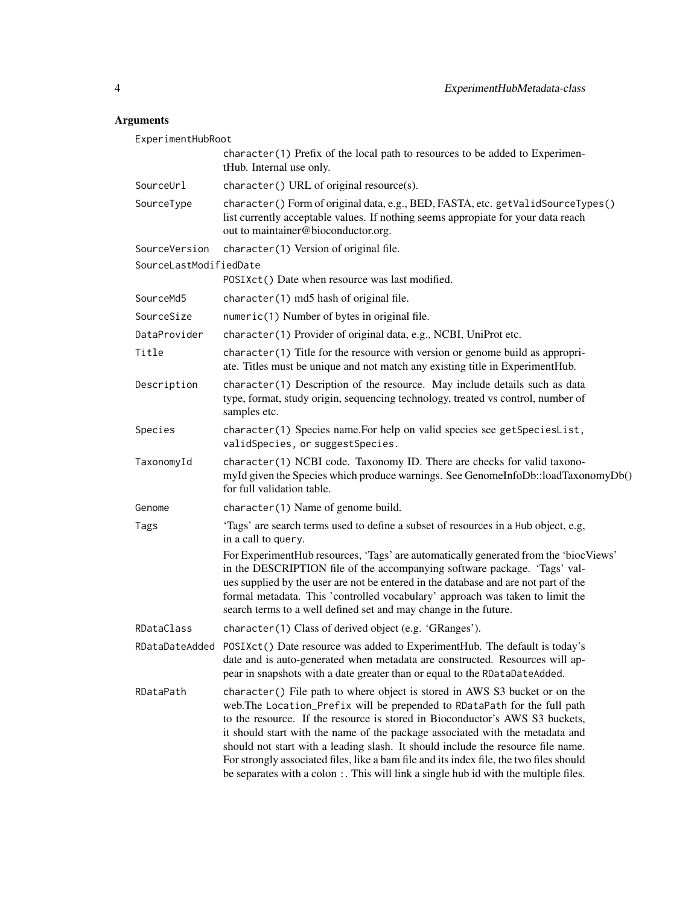## Arguments

| ExperimentHubRoot      |                                                                                                                                                                                                                                                                                                                                                                                                                                                                                                                                                                                                |
|------------------------|------------------------------------------------------------------------------------------------------------------------------------------------------------------------------------------------------------------------------------------------------------------------------------------------------------------------------------------------------------------------------------------------------------------------------------------------------------------------------------------------------------------------------------------------------------------------------------------------|
|                        | character(1) Prefix of the local path to resources to be added to Experimen-<br>tHub. Internal use only.                                                                                                                                                                                                                                                                                                                                                                                                                                                                                       |
| SourceUrl              | character() URL of original resource(s).                                                                                                                                                                                                                                                                                                                                                                                                                                                                                                                                                       |
| SourceType             | character() Form of original data, e.g., BED, FASTA, etc. getValidSourceTypes()<br>list currently acceptable values. If nothing seems appropiate for your data reach<br>out to maintainer@bioconductor.org.                                                                                                                                                                                                                                                                                                                                                                                    |
| SourceVersion          | character(1) Version of original file.                                                                                                                                                                                                                                                                                                                                                                                                                                                                                                                                                         |
| SourceLastModifiedDate |                                                                                                                                                                                                                                                                                                                                                                                                                                                                                                                                                                                                |
|                        | POSIXct() Date when resource was last modified.                                                                                                                                                                                                                                                                                                                                                                                                                                                                                                                                                |
| SourceMd5              | character(1) md5 hash of original file.                                                                                                                                                                                                                                                                                                                                                                                                                                                                                                                                                        |
| SourceSize             | numeric(1) Number of bytes in original file.                                                                                                                                                                                                                                                                                                                                                                                                                                                                                                                                                   |
| DataProvider           | character (1) Provider of original data, e.g., NCBI, UniProt etc.                                                                                                                                                                                                                                                                                                                                                                                                                                                                                                                              |
| Title                  | character(1) Title for the resource with version or genome build as appropri-<br>ate. Titles must be unique and not match any existing title in ExperimentHub.                                                                                                                                                                                                                                                                                                                                                                                                                                 |
| Description            | character(1) Description of the resource. May include details such as data<br>type, format, study origin, sequencing technology, treated vs control, number of<br>samples etc.                                                                                                                                                                                                                                                                                                                                                                                                                 |
| Species                | character(1) Species name. For help on valid species see getSpeciesList,<br>validSpecies, or suggestSpecies.                                                                                                                                                                                                                                                                                                                                                                                                                                                                                   |
| TaxonomyId             | character(1) NCBI code. Taxonomy ID. There are checks for valid taxono-<br>myId given the Species which produce warnings. See GenomeInfoDb::loadTaxonomyDb()<br>for full validation table.                                                                                                                                                                                                                                                                                                                                                                                                     |
| Genome                 | character(1) Name of genome build.                                                                                                                                                                                                                                                                                                                                                                                                                                                                                                                                                             |
| Tags                   | 'Tags' are search terms used to define a subset of resources in a Hub object, e.g,<br>in a call to query.                                                                                                                                                                                                                                                                                                                                                                                                                                                                                      |
|                        | For ExperimentHub resources, 'Tags' are automatically generated from the 'bioc Views'<br>in the DESCRIPTION file of the accompanying software package. 'Tags' val-<br>ues supplied by the user are not be entered in the database and are not part of the<br>formal metadata. This 'controlled vocabulary' approach was taken to limit the<br>search terms to a well defined set and may change in the future.                                                                                                                                                                                 |
| RDataClass             | character(1) Class of derived object (e.g. 'GRanges').                                                                                                                                                                                                                                                                                                                                                                                                                                                                                                                                         |
|                        | RDataDateAdded POSIXct() Date resource was added to ExperimentHub. The default is today's<br>date and is auto-generated when metadata are constructed. Resources will ap-<br>pear in snapshots with a date greater than or equal to the RDataDateAdded.                                                                                                                                                                                                                                                                                                                                        |
| RDataPath              | character() File path to where object is stored in AWS S3 bucket or on the<br>web. The Location_Prefix will be prepended to RDataPath for the full path<br>to the resource. If the resource is stored in Bioconductor's AWS S3 buckets,<br>it should start with the name of the package associated with the metadata and<br>should not start with a leading slash. It should include the resource file name.<br>For strongly associated files, like a bam file and its index file, the two files should<br>be separates with a colon : This will link a single hub id with the multiple files. |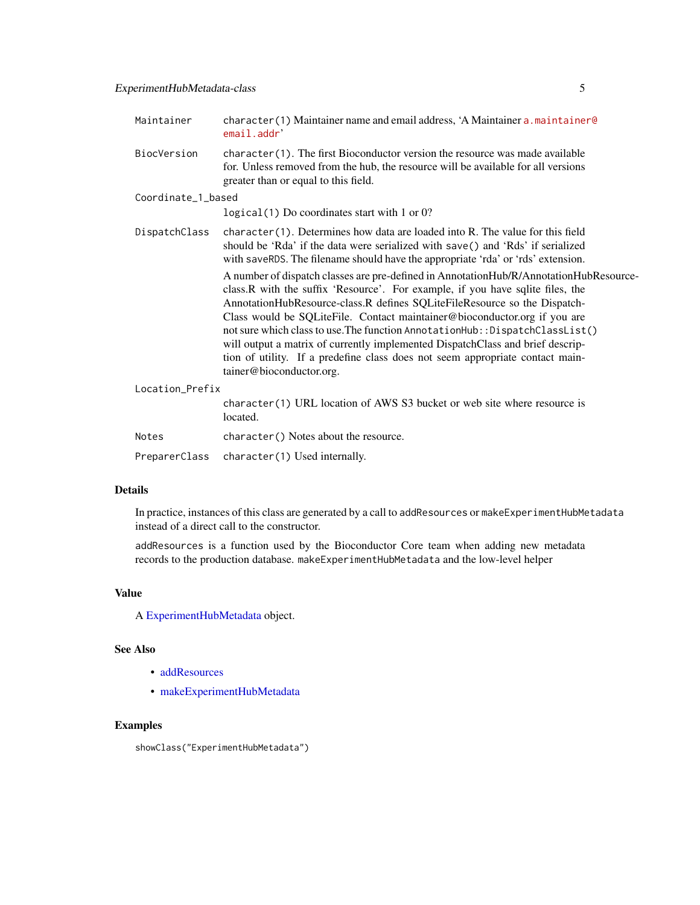<span id="page-4-0"></span>

| Maintainer         | $character(1)$ Maintainer name and email address, 'A Maintainer a maintainer $\theta$<br>email.addr'                                                                                                                                                                                                                                                                                                                                                                                                                                                                                                               |
|--------------------|--------------------------------------------------------------------------------------------------------------------------------------------------------------------------------------------------------------------------------------------------------------------------------------------------------------------------------------------------------------------------------------------------------------------------------------------------------------------------------------------------------------------------------------------------------------------------------------------------------------------|
| BiocVersion        | $character(1)$ . The first Bioconductor version the resource was made available<br>for. Unless removed from the hub, the resource will be available for all versions<br>greater than or equal to this field.                                                                                                                                                                                                                                                                                                                                                                                                       |
| Coordinate_1_based |                                                                                                                                                                                                                                                                                                                                                                                                                                                                                                                                                                                                                    |
|                    | $logical(1)$ Do coordinates start with 1 or 0?                                                                                                                                                                                                                                                                                                                                                                                                                                                                                                                                                                     |
| DispatchClass      | $character(1)$ . Determines how data are loaded into R. The value for this field<br>should be 'Rda' if the data were serialized with save() and 'Rds' if serialized<br>with saveRDS. The filename should have the appropriate 'rda' or 'rds' extension.                                                                                                                                                                                                                                                                                                                                                            |
|                    | A number of dispatch classes are pre-defined in AnnotationHub/R/AnnotationHubResource-<br>class.R with the suffix 'Resource'. For example, if you have sqlite files, the<br>AnnotationHubResource-class.R defines SQLiteFileResource so the Dispatch-<br>Class would be SQLiteFile. Contact maintainer@bioconductor.org if you are<br>not sure which class to use. The function AnnotationHub:: DispatchClassList()<br>will output a matrix of currently implemented DispatchClass and brief descrip-<br>tion of utility. If a predefine class does not seem appropriate contact main-<br>tainer@bioconductor.org. |
| Location_Prefix    |                                                                                                                                                                                                                                                                                                                                                                                                                                                                                                                                                                                                                    |
|                    | character(1) URL location of AWS S3 bucket or web site where resource is<br>located.                                                                                                                                                                                                                                                                                                                                                                                                                                                                                                                               |
| Notes              | character () Notes about the resource.                                                                                                                                                                                                                                                                                                                                                                                                                                                                                                                                                                             |
| PreparerClass      | character(1) Used internally.                                                                                                                                                                                                                                                                                                                                                                                                                                                                                                                                                                                      |

## Details

In practice, instances of this class are generated by a call to addResources or makeExperimentHubMetadata instead of a direct call to the constructor.

addResources is a function used by the Bioconductor Core team when adding new metadata records to the production database. makeExperimentHubMetadata and the low-level helper

## Value

A [ExperimentHubMetadata](#page-2-1) object.

## See Also

- [addResources](#page-1-1)
- [makeExperimentHubMetadata](#page-5-1)

## Examples

showClass("ExperimentHubMetadata")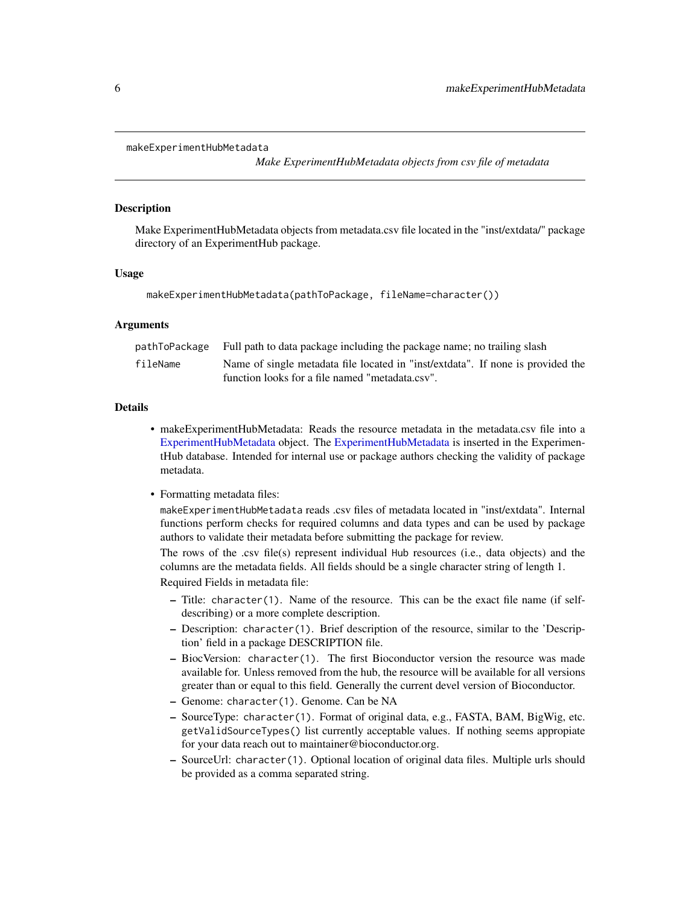```
makeExperimentHubMetadata
```
*Make ExperimentHubMetadata objects from csv file of metadata*

## Description

Make ExperimentHubMetadata objects from metadata.csv file located in the "inst/extdata/" package directory of an ExperimentHub package.

#### Usage

```
makeExperimentHubMetadata(pathToPackage, fileName=character())
```
## Arguments

|          | pathToPackage Full path to data package including the package name; no trailing slash |
|----------|---------------------------------------------------------------------------------------|
| fileName | Name of single metadata file located in "inst/extdata". If none is provided the       |
|          | function looks for a file named "metadata.csv".                                       |

## Details

- makeExperimentHubMetadata: Reads the resource metadata in the metadata.csv file into a [ExperimentHubMetadata](#page-2-1) object. The [ExperimentHubMetadata](#page-2-1) is inserted in the ExperimentHub database. Intended for internal use or package authors checking the validity of package metadata.
- Formatting metadata files:

makeExperimentHubMetadata reads .csv files of metadata located in "inst/extdata". Internal functions perform checks for required columns and data types and can be used by package authors to validate their metadata before submitting the package for review.

The rows of the .csv file(s) represent individual Hub resources (i.e., data objects) and the columns are the metadata fields. All fields should be a single character string of length 1. Required Fields in metadata file:

- Title: character(1). Name of the resource. This can be the exact file name (if selfdescribing) or a more complete description.
- Description: character(1). Brief description of the resource, similar to the 'Description' field in a package DESCRIPTION file.
- BiocVersion: character(1). The first Bioconductor version the resource was made available for. Unless removed from the hub, the resource will be available for all versions greater than or equal to this field. Generally the current devel version of Bioconductor.
- Genome: character(1). Genome. Can be NA
- SourceType: character(1). Format of original data, e.g., FASTA, BAM, BigWig, etc. getValidSourceTypes() list currently acceptable values. If nothing seems appropiate for your data reach out to maintainer@bioconductor.org.
- SourceUrl: character(1). Optional location of original data files. Multiple urls should be provided as a comma separated string.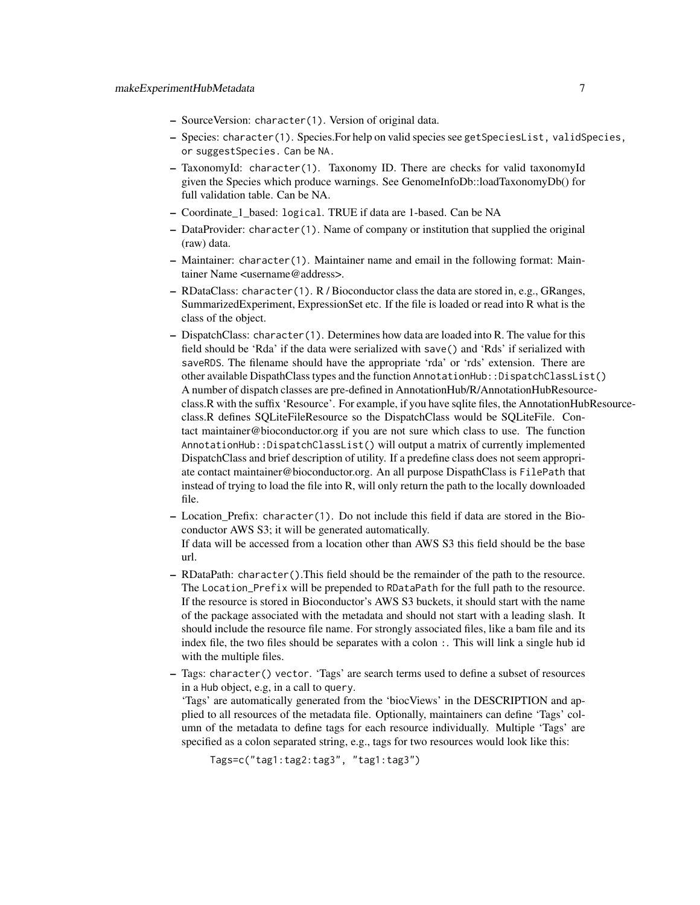- SourceVersion: character(1). Version of original data.
- Species: character(1). Species.For help on valid species see getSpeciesList, validSpecies, or suggestSpecies. Can be NA.
- TaxonomyId: character(1). Taxonomy ID. There are checks for valid taxonomyId given the Species which produce warnings. See GenomeInfoDb::loadTaxonomyDb() for full validation table. Can be NA.
- Coordinate\_1\_based: logical. TRUE if data are 1-based. Can be NA
- DataProvider: character(1). Name of company or institution that supplied the original (raw) data.
- Maintainer: character(1). Maintainer name and email in the following format: Maintainer Name <username@address>.
- RDataClass: character(1). R / Bioconductor class the data are stored in, e.g., GRanges, SummarizedExperiment, ExpressionSet etc. If the file is loaded or read into R what is the class of the object.
- DispatchClass: character(1). Determines how data are loaded into R. The value for this field should be 'Rda' if the data were serialized with save() and 'Rds' if serialized with saveRDS. The filename should have the appropriate 'rda' or 'rds' extension. There are other available DispathClass types and the function AnnotationHub::DispatchClassList() A number of dispatch classes are pre-defined in AnnotationHub/R/AnnotationHubResourceclass.R with the suffix 'Resource'. For example, if you have sqlite files, the AnnotationHubResourceclass.R defines SQLiteFileResource so the DispatchClass would be SQLiteFile. Contact maintainer@bioconductor.org if you are not sure which class to use. The function AnnotationHub::DispatchClassList() will output a matrix of currently implemented DispatchClass and brief description of utility. If a predefine class does not seem appropriate contact maintainer@bioconductor.org. An all purpose DispathClass is FilePath that instead of trying to load the file into R, will only return the path to the locally downloaded file.
- Location\_Prefix: character(1). Do not include this field if data are stored in the Bioconductor AWS S3; it will be generated automatically. If data will be accessed from a location other than AWS S3 this field should be the base url.
- RDataPath: character().This field should be the remainder of the path to the resource. The Location\_Prefix will be prepended to RDataPath for the full path to the resource. If the resource is stored in Bioconductor's AWS S3 buckets, it should start with the name of the package associated with the metadata and should not start with a leading slash. It should include the resource file name. For strongly associated files, like a bam file and its index file, the two files should be separates with a colon :. This will link a single hub id with the multiple files.
- Tags: character() vector. 'Tags' are search terms used to define a subset of resources in a Hub object, e.g, in a call to query.

'Tags' are automatically generated from the 'biocViews' in the DESCRIPTION and applied to all resources of the metadata file. Optionally, maintainers can define 'Tags' column of the metadata to define tags for each resource individually. Multiple 'Tags' are specified as a colon separated string, e.g., tags for two resources would look like this:

Tags=c("tag1:tag2:tag3", "tag1:tag3")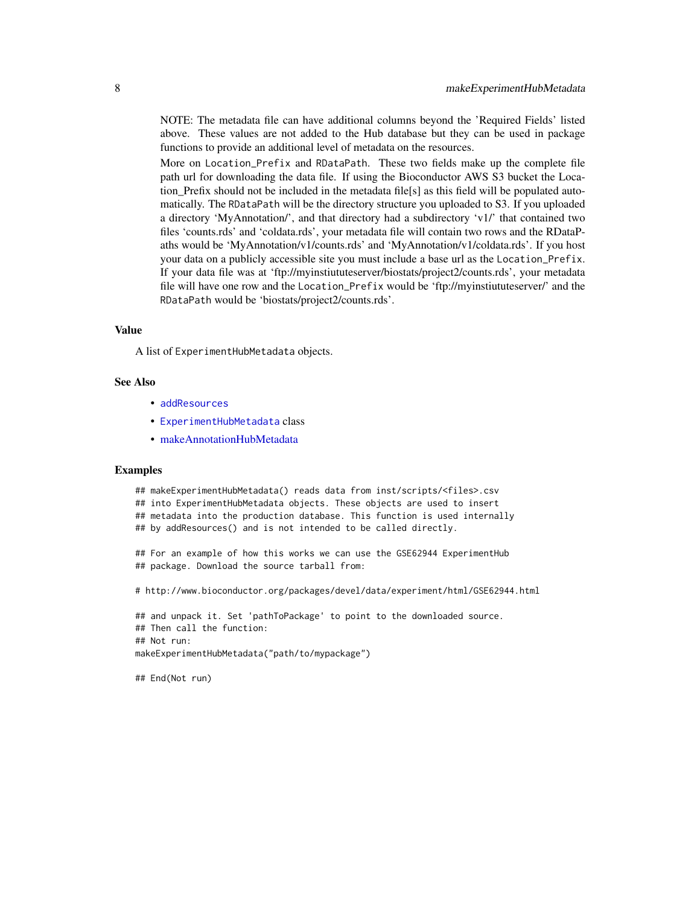<span id="page-7-0"></span>NOTE: The metadata file can have additional columns beyond the 'Required Fields' listed above. These values are not added to the Hub database but they can be used in package functions to provide an additional level of metadata on the resources.

More on Location\_Prefix and RDataPath. These two fields make up the complete file path url for downloading the data file. If using the Bioconductor AWS S3 bucket the Location\_Prefix should not be included in the metadata file[s] as this field will be populated automatically. The RDataPath will be the directory structure you uploaded to S3. If you uploaded a directory 'MyAnnotation/', and that directory had a subdirectory 'v1/' that contained two files 'counts.rds' and 'coldata.rds', your metadata file will contain two rows and the RDataPaths would be 'MyAnnotation/v1/counts.rds' and 'MyAnnotation/v1/coldata.rds'. If you host your data on a publicly accessible site you must include a base url as the Location\_Prefix. If your data file was at 'ftp://myinstiututeserver/biostats/project2/counts.rds', your metadata file will have one row and the Location\_Prefix would be 'ftp://myinstiututeserver/' and the RDataPath would be 'biostats/project2/counts.rds'.

#### Value

A list of ExperimentHubMetadata objects.

### See Also

- [addResources](#page-1-1)
- [ExperimentHubMetadata](#page-2-1) class
- [makeAnnotationHubMetadata](#page-0-0)

#### Examples

## makeExperimentHubMetadata() reads data from inst/scripts/<files>.csv ## into ExperimentHubMetadata objects. These objects are used to insert ## metadata into the production database. This function is used internally ## by addResources() and is not intended to be called directly. ## For an example of how this works we can use the GSE62944 ExperimentHub ## package. Download the source tarball from: # http://www.bioconductor.org/packages/devel/data/experiment/html/GSE62944.html ## and unpack it. Set 'pathToPackage' to point to the downloaded source.

```
## Then call the function:
## Not run:
makeExperimentHubMetadata("path/to/mypackage")
```
## End(Not run)